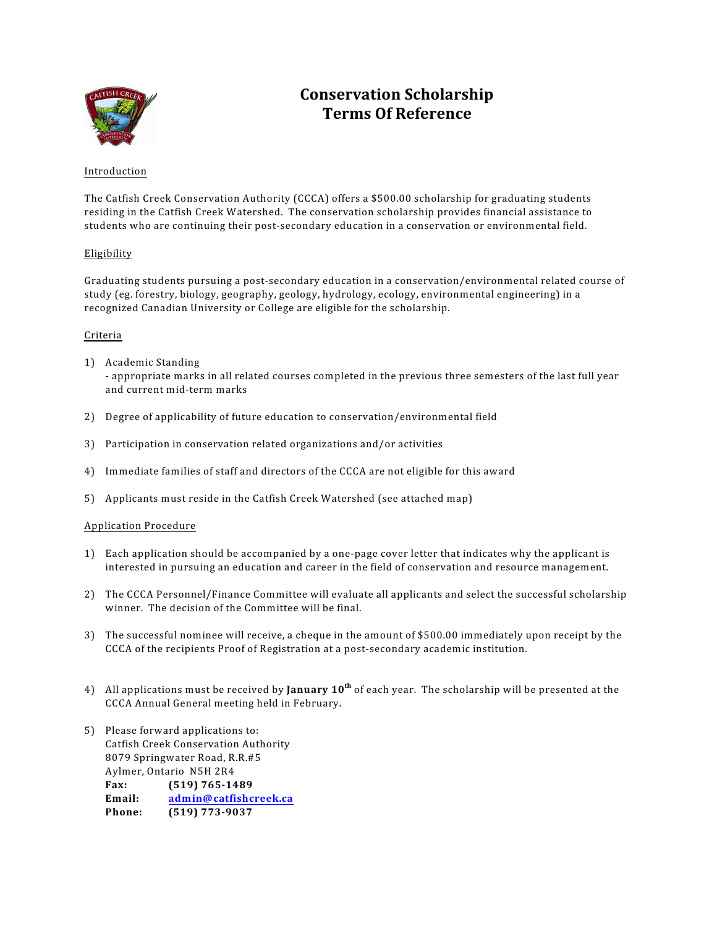

# **Conservation Scholarship Terms Of Reference**

### Introduction

The Catfish Creek Conservation Authority (CCCA) offers a \$500.00 scholarship for graduating students residing in the Catfish Creek Watershed. The conservation scholarship provides financial assistance to students who are continuing their post-secondary education in a conservation or environmental field.

### Eligibility

Graduating students pursuing a post-secondary education in a conservation/environmental related course of study (eg. forestry, biology, geography, geology, hydrology, ecology, environmental engineering) in a recognized Canadian University or College are eligible for the scholarship.

### Criteria

- 1) Academic Standing - appropriate marks in all related courses completed in the previous three semesters of the last full year and current mid-term marks
- 2) Degree of applicability of future education to conservation/environmental field
- 3) Participation in conservation related organizations and/or activities
- 4) Immediate families of staff and directors of the CCCA are not eligible for this award
- 5) Applicants must reside in the Catfish Creek Watershed (see attached map)

### Application Procedure

- 1) Each application should be accompanied by a one-page cover letter that indicates why the applicant is interested in pursuing an education and career in the field of conservation and resource management.
- 2) The CCCA Personnel/Finance Committee will evaluate all applicants and select the successful scholarship winner. The decision of the Committee will be final.
- 3) The successful nominee will receive, a cheque in the amount of \$500.00 immediately upon receipt by the CCCA of the recipients Proof of Registration at a post-secondary academic institution.
- 4) All applications must be received by **January 10** of each year. The scholarship will be presented at the **th** CCCA Annual General meeting held in February.
- 5) Please forward applications to: Catfish Creek Conservation Authority 8079 Springwater Road, R.R.#5 Aylmer, Ontario N5H 2R4 **Fax: (519) 765-1489 Email: [admin@catfishcreek.ca](mailto:admin@catfishcreek.ca) Phone: (519) 773-9037**